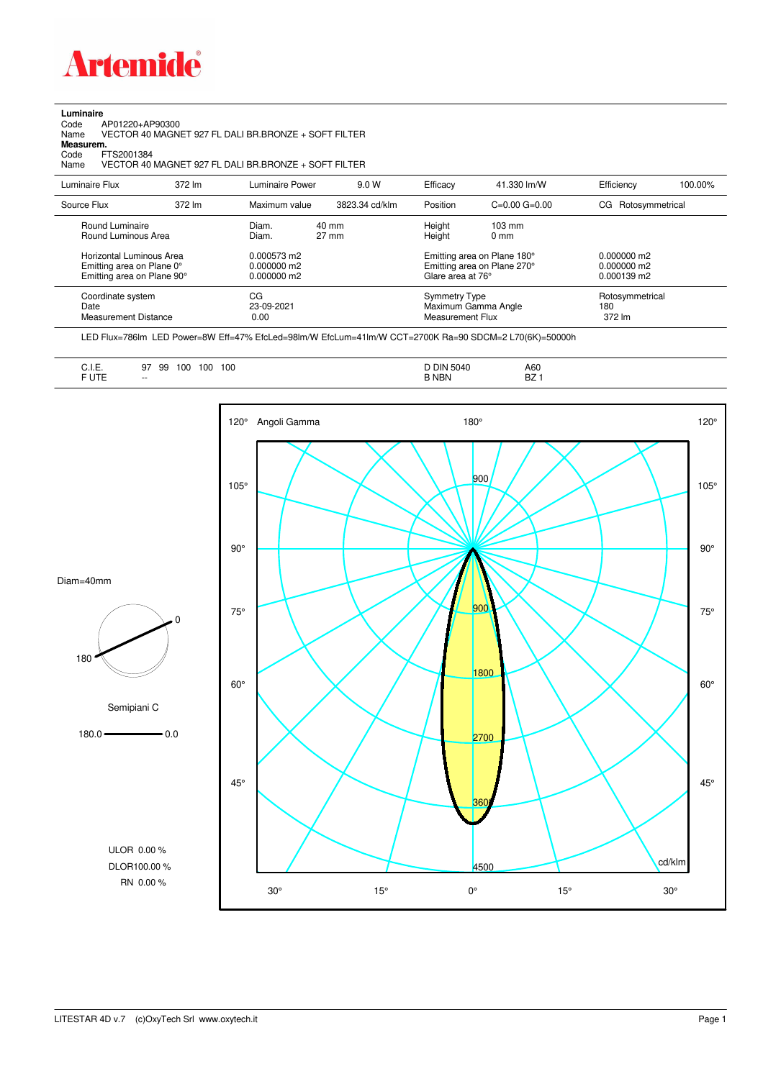

**Luminaire**<br>Code<br>Name Code AP01220+AP90300 Name VECTOR 40 MAGNET 927 FL DALI BR.BRONZE + SOFT FILTER

**Measurem.**

Code FTS2001384

| VECTOR 40 MAGNET 927 FL DALI BR.BRONZE + SOFT FILTER<br>Name                                    |        |                                                                                      |                |                                                                                                                       |                                                                               |                                             |                 |  |
|-------------------------------------------------------------------------------------------------|--------|--------------------------------------------------------------------------------------|----------------|-----------------------------------------------------------------------------------------------------------------------|-------------------------------------------------------------------------------|---------------------------------------------|-----------------|--|
| Luminaire Flux                                                                                  | 372 lm | Luminaire Power                                                                      | 9.0 W          | Efficacy                                                                                                              | 41.330 lm/W                                                                   | Efficiency                                  | 100.00%         |  |
| Source Flux                                                                                     | 372 lm | Maximum value                                                                        | 3823.34 cd/klm | Position                                                                                                              | $C=0.00$ $G=0.00$                                                             | CG.<br>Rotosymmetrical                      |                 |  |
| Round Luminaire<br>Round Luminous Area<br>Horizontal Luminous Area<br>Emitting area on Plane 0° |        | Diam.<br>$40 \text{ mm}$<br>$27 \text{ mm}$<br>Diam.<br>$0.000573$ m2<br>0.000000 m2 |                | Height<br>$103 \text{ mm}$<br>Height<br>0 <sub>mm</sub><br>Emitting area on Plane 180°<br>Emitting area on Plane 270° |                                                                               | $0.000000$ m2<br>0.000000 m2<br>0.000139 m2 |                 |  |
| Emitting area on Plane 90°<br>Coordinate system<br>Date<br>Measurement Distance                 |        | 0.000000 m2<br>CG<br>23-09-2021<br>0.00                                              |                |                                                                                                                       | Glare area at 76°<br>Symmetry Type<br>Maximum Gamma Angle<br>Measurement Flux |                                             | Rotosymmetrical |  |

LED Flux=786lm LED Power=8W Eff=47% EfcLed=98lm/W EfcLum=41lm/W CCT=2700K Ra=90 SDCM=2 L70(6K)=50000h